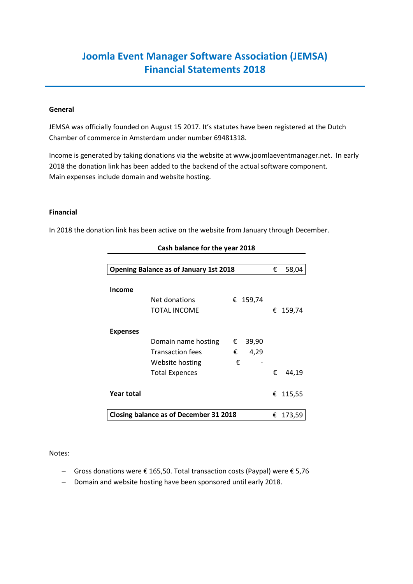# **Joomla Event Manager Software Association (JEMSA) Financial Statements 2018**

## **General**

JEMSA was officially founded on August 15 2017. It's statutes have been registered at the Dutch Chamber of commerce in Amsterdam under number 69481318.

Income is generated by taking donations via the website at www.joomlaeventmanager.net. In early 2018 the donation link has been added to the backend of the actual software component. Main expenses include domain and website hosting.

#### **Financial**

In 2018 the donation link has been active on the website from January through December.

| <b>Opening Balance as of January 1st 2018</b> |                         |   |          | € | 58,04    |
|-----------------------------------------------|-------------------------|---|----------|---|----------|
| <b>Income</b>                                 |                         |   |          |   |          |
|                                               | Net donations           |   | € 159,74 |   |          |
|                                               | <b>TOTAL INCOME</b>     |   |          |   | € 159,74 |
| <b>Expenses</b>                               |                         |   |          |   |          |
|                                               | Domain name hosting     | € | 39,90    |   |          |
|                                               | <b>Transaction fees</b> | € | 4,29     |   |          |
|                                               | Website hosting         | € |          |   |          |
|                                               | <b>Total Expences</b>   |   |          | € | 44,19    |
| Year total                                    |                         |   |          | € | 115,55   |
| <b>Closing balance as of December 31 2018</b> |                         |   |          | € | 173,59   |

## **Cash balance for the year 2018**

#### Notes:

- Gross donations were € 165,50. Total transaction costs (Paypal) were € 5,76
- Domain and website hosting have been sponsored until early 2018.